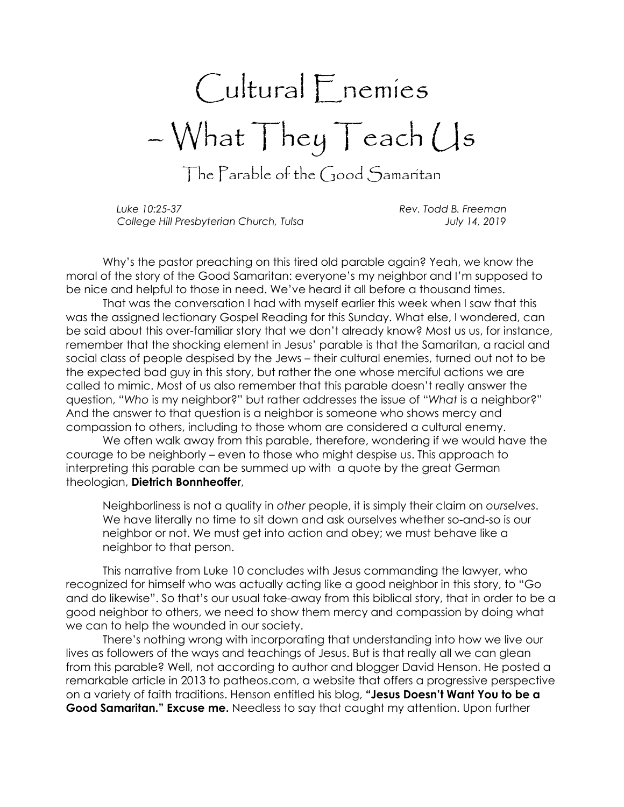## Cultural Enemies – What They Teach Us

The Parable of the Good Samaritan

Luke 10:25-37 Rev. Todd B. Freeman College Hill Presbyterian Church, Tulsa July 14, 2019

Why's the pastor preaching on this tired old parable again? Yeah, we know the moral of the story of the Good Samaritan: everyone's my neighbor and I'm supposed to be nice and helpful to those in need. We've heard it all before a thousand times.

That was the conversation I had with myself earlier this week when I saw that this was the assigned lectionary Gospel Reading for this Sunday. What else, I wondered, can be said about this over-familiar story that we don't already know? Most us us, for instance, remember that the shocking element in Jesus' parable is that the Samaritan, a racial and social class of people despised by the Jews – their cultural enemies, turned out not to be the expected bad guy in this story, but rather the one whose merciful actions we are called to mimic. Most of us also remember that this parable doesn't really answer the question, "Who is my neighbor?" but rather addresses the issue of "What is a neighbor?" And the answer to that question is a neighbor is someone who shows mercy and compassion to others, including to those whom are considered a cultural enemy.

We often walk away from this parable, therefore, wondering if we would have the courage to be neighborly – even to those who might despise us. This approach to interpreting this parable can be summed up with a quote by the great German theologian, Dietrich Bonnheoffer,

Neighborliness is not a quality in other people, it is simply their claim on ourselves. We have literally no time to sit down and ask ourselves whether so-and-so is our neighbor or not. We must get into action and obey; we must behave like a neighbor to that person.

This narrative from Luke 10 concludes with Jesus commanding the lawyer, who recognized for himself who was actually acting like a good neighbor in this story, to "Go and do likewise". So that's our usual take-away from this biblical story, that in order to be a good neighbor to others, we need to show them mercy and compassion by doing what we can to help the wounded in our society.

There's nothing wrong with incorporating that understanding into how we live our lives as followers of the ways and teachings of Jesus. But is that really all we can glean from this parable? Well, not according to author and blogger David Henson. He posted a remarkable article in 2013 to patheos.com, a website that offers a progressive perspective on a variety of faith traditions. Henson entitled his blog, "Jesus Doesn't Want You to be a Good Samaritan." Excuse me. Needless to say that caught my attention. Upon further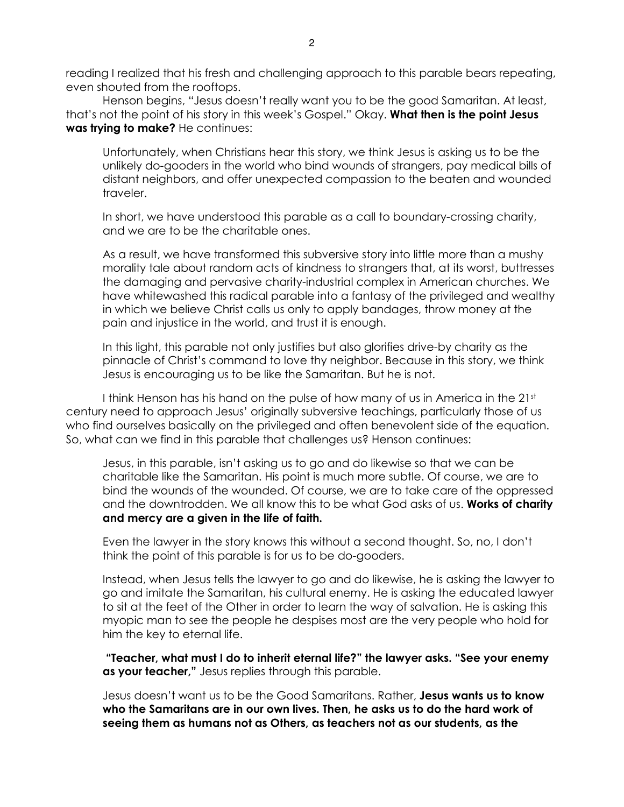reading I realized that his fresh and challenging approach to this parable bears repeating, even shouted from the rooftops.

Henson begins, "Jesus doesn't really want you to be the good Samaritan. At least, that's not the point of his story in this week's Gospel." Okay. What then is the point Jesus was trying to make? He continues:

Unfortunately, when Christians hear this story, we think Jesus is asking us to be the unlikely do-gooders in the world who bind wounds of strangers, pay medical bills of distant neighbors, and offer unexpected compassion to the beaten and wounded traveler.

In short, we have understood this parable as a call to boundary-crossing charity, and we are to be the charitable ones.

As a result, we have transformed this subversive story into little more than a mushy morality tale about random acts of kindness to strangers that, at its worst, buttresses the damaging and pervasive charity-industrial complex in American churches. We have whitewashed this radical parable into a fantasy of the privileged and wealthy in which we believe Christ calls us only to apply bandages, throw money at the pain and injustice in the world, and trust it is enough.

In this light, this parable not only justifies but also glorifies drive-by charity as the pinnacle of Christ's command to love thy neighbor. Because in this story, we think Jesus is encouraging us to be like the Samaritan. But he is not.

I think Henson has his hand on the pulse of how many of us in America in the 21st century need to approach Jesus' originally subversive teachings, particularly those of us who find ourselves basically on the privileged and often benevolent side of the equation. So, what can we find in this parable that challenges us? Henson continues:

Jesus, in this parable, isn't asking us to go and do likewise so that we can be charitable like the Samaritan. His point is much more subtle. Of course, we are to bind the wounds of the wounded. Of course, we are to take care of the oppressed and the downtrodden. We all know this to be what God asks of us. Works of charity and mercy are a given in the life of faith.

Even the lawyer in the story knows this without a second thought. So, no, I don't think the point of this parable is for us to be do-gooders.

Instead, when Jesus tells the lawyer to go and do likewise, he is asking the lawyer to go and imitate the Samaritan, his cultural enemy. He is asking the educated lawyer to sit at the feet of the Other in order to learn the way of salvation. He is asking this myopic man to see the people he despises most are the very people who hold for him the key to eternal life.

 "Teacher, what must I do to inherit eternal life?" the lawyer asks. "See your enemy as your teacher," Jesus replies through this parable.

Jesus doesn't want us to be the Good Samaritans. Rather, Jesus wants us to know who the Samaritans are in our own lives. Then, he asks us to do the hard work of seeing them as humans not as Others, as teachers not as our students, as the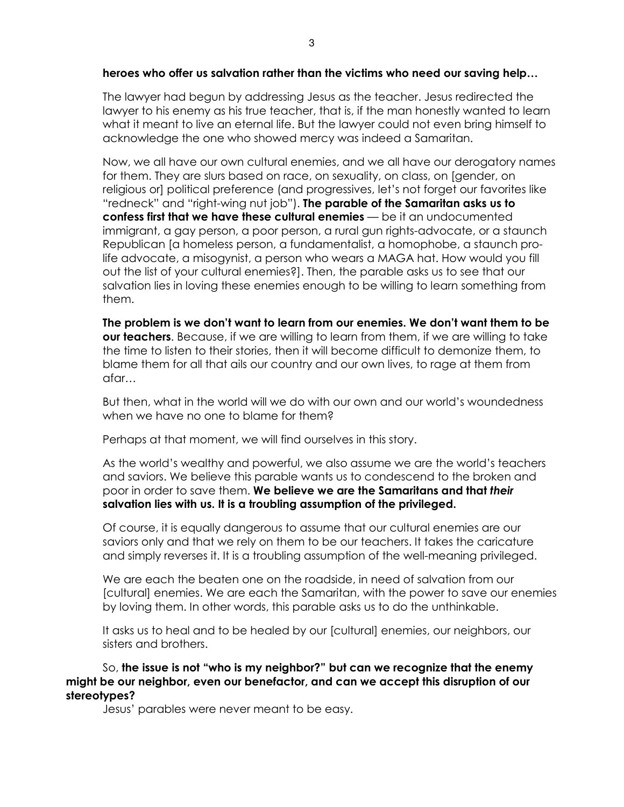## heroes who offer us salvation rather than the victims who need our saving help…

The lawyer had begun by addressing Jesus as the teacher. Jesus redirected the lawyer to his enemy as his true teacher, that is, if the man honestly wanted to learn what it meant to live an eternal life. But the lawyer could not even bring himself to acknowledge the one who showed mercy was indeed a Samaritan.

Now, we all have our own cultural enemies, and we all have our derogatory names for them. They are slurs based on race, on sexuality, on class, on [gender, on religious or] political preference (and progressives, let's not forget our favorites like "redneck" and "right-wing nut job"). The parable of the Samaritan asks us to confess first that we have these cultural enemies — be it an undocumented immigrant, a gay person, a poor person, a rural gun rights-advocate, or a staunch Republican [a homeless person, a fundamentalist, a homophobe, a staunch prolife advocate, a misogynist, a person who wears a MAGA hat. How would you fill out the list of your cultural enemies?]. Then, the parable asks us to see that our salvation lies in loving these enemies enough to be willing to learn something from them.

The problem is we don't want to learn from our enemies. We don't want them to be **our teachers.** Because, if we are willing to learn from them, if we are willing to take the time to listen to their stories, then it will become difficult to demonize them, to blame them for all that ails our country and our own lives, to rage at them from afar…

But then, what in the world will we do with our own and our world's woundedness when we have no one to blame for them?

Perhaps at that moment, we will find ourselves in this story.

As the world's wealthy and powerful, we also assume we are the world's teachers and saviors. We believe this parable wants us to condescend to the broken and poor in order to save them. We believe we are the Samaritans and that their salvation lies with us. It is a troubling assumption of the privileged.

Of course, it is equally dangerous to assume that our cultural enemies are our saviors only and that we rely on them to be our teachers. It takes the caricature and simply reverses it. It is a troubling assumption of the well-meaning privileged.

We are each the beaten one on the roadside, in need of salvation from our [cultural] enemies. We are each the Samaritan, with the power to save our enemies by loving them. In other words, this parable asks us to do the unthinkable.

It asks us to heal and to be healed by our [cultural] enemies, our neighbors, our sisters and brothers.

So, the issue is not "who is my neighbor?" but can we recognize that the enemy might be our neighbor, even our benefactor, and can we accept this disruption of our stereotypes?

Jesus' parables were never meant to be easy.